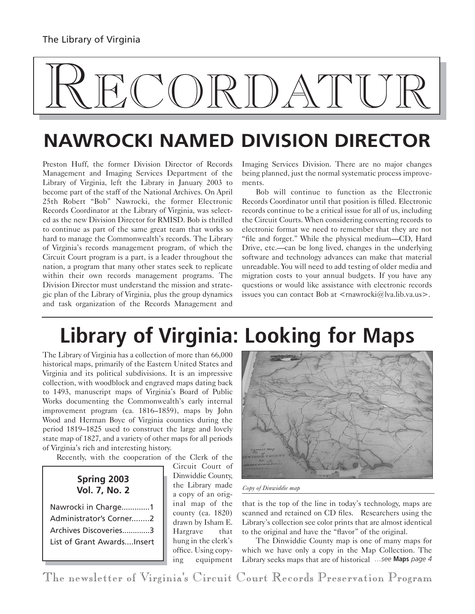# RECORDATUR

## **NAWROCKI NAMED DIVISION DIRECTOR**

Preston Huff, the former Division Director of Records Management and Imaging Services Department of the Library of Virginia, left the Library in January 2003 to become part of the staff of the National Archives. On April 25th Robert "Bob" Nawrocki, the former Electronic Records Coordinator at the Library of Virginia, was selected as the new Division Director for RMISD. Bob is thrilled to continue as part of the same great team that works so hard to manage the Commonwealth's records. The Library of Virginia's records management program, of which the Circuit Court program is a part, is a leader throughout the nation, a program that many other states seek to replicate within their own records management programs. The Division Director must understand the mission and strategic plan of the Library of Virginia, plus the group dynamics and task organization of the Records Management and

Imaging Services Division. There are no major changes being planned, just the normal systematic process improvements.

Bob will continue to function as the Electronic Records Coordinator until that position is filled. Electronic records continue to be a critical issue for all of us, including the Circuit Courts. When considering converting records to electronic format we need to remember that they are not "file and forget." While the physical medium—CD, Hard Drive, etc.—can be long lived, changes in the underlying software and technology advances can make that material unreadable. You will need to add testing of older media and migration costs to your annual budgets. If you have any questions or would like assistance with electronic records issues you can contact Bob at  $\leq$ rnawrocki@lva.lib.va.us>.

# **Library of Virginia: Looking for Maps**

The Library of Virginia has a collection of more than 66,000 historical maps, primarily of the Eastern United States and Virginia and its political subdivisions. It is an impressive collection, with woodblock and engraved maps dating back to 1493, manuscript maps of Virginia's Board of Public Works documenting the Commonwealth's early internal improvement program (ca. 1816–1859), maps by John Wood and Herman Boye of Virginia counties during the period 1819–1825 used to construct the large and lovely state map of 1827, and a variety of other maps for all periods of Virginia's rich and interesting history.

Recently, with the cooperation of the Clerk of the

#### **Spring 2003 Vol. 7, No. 2**

| Nawrocki in Charge1        |
|----------------------------|
| Administrator's Corner2    |
| Archives Discoveries3      |
| List of Grant AwardsInsert |

Circuit Court of Dinwiddie County, the Library made a copy of an original map of the county (ca. 1820) drawn by Isham E. Hargrave that hung in the clerk's office. Using copying equipment



*Copy of Dinwiddie map*

that is the top of the line in today's technology, maps are scanned and retained on CD files. Researchers using the Library's collection see color prints that are almost identical to the original and have the "flavor" of the original.

The Dinwiddie County map is one of many maps for which we have only a copy in the Map Collection. The Library seeks maps that are of historical *…see* **Maps** *page 4*

The newsletter of Virginia's Circuit Court Records Preservation Program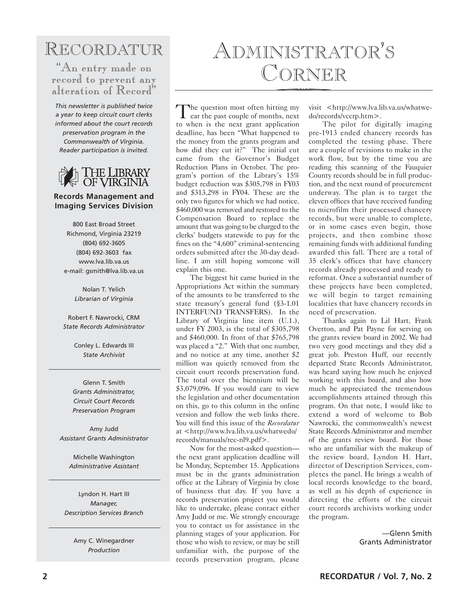#### RECORDATUR

"An entry made on record to prevent any alteration of Record"

*This newsletter is published twice a year to keep circuit court clerks informed about the court records preservation program in the Commonwealth of Virginia. Reader participation is invited.*



#### **Records Management and Imaging Services Division**

800 East Broad Street Richmond, Virginia 23219 (804) 692-3605 (804) 692-3603 fax www.lva.lib.va.us e-mail: gsmith@lva.lib.va.us

> Nolan T. Yelich *Librarian of Virginia*

Robert F. Nawrocki, CRM *State Records Administrator*

> Conley L. Edwards III *State Archivist*

Glenn T. Smith *Grants Administrator, Circuit Court Records Preservation Program*

Amy Judd *Assistant Grants Administrator*

Michelle Washington *Administrative Assistant*

Lyndon H. Hart III *Manager, Description Services Branch*

> Amy C. Winegardner *Production*

# ADMINISTRATOR'S CORNER

The question most often hitting my<br>ear the past couple of months, next to when is the next grant application deadline, has been "What happened to the money from the grants program and how did they cut it?" The initial cut came from the Governor's Budget Reduction Plans in October. The program's portion of the Library's 15% budget reduction was \$305,798 in FY03 and \$313,298 in FY04. These are the only two figures for which we had notice. \$460,000 was removed and restored to the Compensation Board to replace the amount that was going to be charged to the clerks' budgets statewide to pay for the fines on the "4,600" criminal-sentencing orders submitted after the 30-day deadline. I am still hoping someone will explain this one.

The biggest hit came buried in the Appropriations Act within the summary of the amounts to be transferred to the state treasury's general fund (§3-1.01 INTERFUND TRANSFERS). In the Library of Virginia line item (U.1.), under FY 2003, is the total of \$305,798 and \$460,000. In front of that \$765,798 was placed a "2." With that one number, and no notice at any time, another \$2 million was quietly removed from the circuit court records preservation fund. The total over the biennium will be \$3,079,096. If you would care to view the legislation and other documentation on this, go to this column in the online version and follow the web links there. You will find this issue of the *Recordatur* at <http://www.lva.lib.va.us/whatwedo/ records/manuals/rec-nl9.pdf>.

Now for the most-asked question the next grant application deadline will be Monday, September 15. Applications must be in the grants administration office at the Library of Virginia by close of business that day. If you have a records preservation project you would like to undertake, please contact either Amy Judd or me. We strongly encourage you to contact us for assistance in the planning stages of your application. For those who wish to review, or may be still unfamiliar with, the purpose of the records preservation program, please visit <http://www.lva.lib.va.us/whatwedo/records/vccrp.htm>.

The pilot for digitally imaging pre-1913 ended chancery records has completed the testing phase. There are a couple of revisions to make in the work flow, but by the time you are reading this scanning of the Fauquier County records should be in full production, and the next round of procurement underway. The plan is to target the eleven offices that have received funding to microfilm their processed chancery records, but were unable to complete, or in some cases even begin, those projects, and then combine those remaining funds with additional funding awarded this fall. There are a total of 35 clerk's offices that have chancery records already processed and ready to reformat. Once a substantial number of these projects have been completed, we will begin to target remaining localities that have chancery records in need of preservation.

Thanks again to Lil Hart, Frank Overton, and Pat Payne for serving on the grants review board in 2002. We had two very good meetings and they did a great job. Preston Huff, our recently departed State Records Administrator, was heard saying how much he enjoyed working with this board, and also how much he appreciated the tremendous accomplishments attained through this program. On that note, I would like to extend a word of welcome to Bob Nawrocki, the commonwealth's newest State Records Administrator and member of the grants review board. For those who are unfamiliar with the makeup of the review board, Lyndon H. Hart, director of Description Services, completes the panel. He brings a wealth of local records knowledge to the board, as well as his depth of experience in directing the efforts of the circuit court records archivists working under the program.

> —Glenn Smith Grants Administrator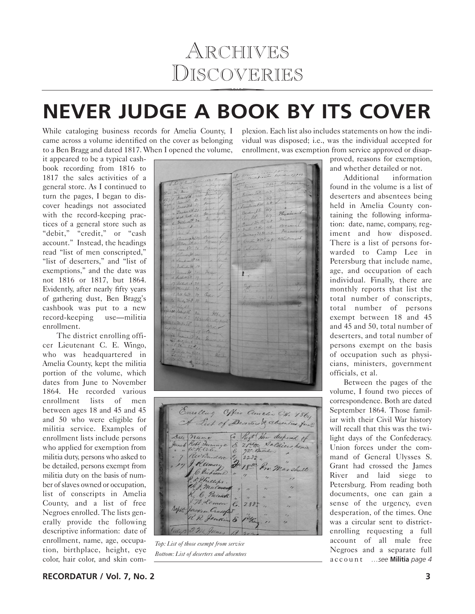#### ARCHIVES DISCOVERIES RCHIV<br>COVEI

## **NEVER JUDGE A BOOK BY ITS COVER**

While cataloging business records for Amelia County, I came across a volume identified on the cover as belonging to a Ben Bragg and dated 1817. When I opened the volume,

plexion. Each list also includes statements on how the individual was disposed; i.e., was the individual accepted for enrollment, was exemption from service approved or disap-

it appeared to be a typical cashbook recording from 1816 to 1817 the sales activities of a general store. As I continued to turn the pages, I began to discover headings not associated with the record-keeping practices of a general store such as "debit," "credit," or "cash account." Instead, the headings read "list of men conscripted," "list of deserters," and "list of exemptions," and the date was not 1816 or 1817, but 1864. Evidently, after nearly fifty years of gathering dust, Ben Bragg's cashbook was put to a new record-keeping use—militia enrollment.

The district enrolling officer Lieutenant C. E. Wingo, who was headquartered in Amelia County, kept the militia portion of the volume, which dates from June to November 1864. He recorded various enrollment lists of men between ages 18 and 45 and 45 and 50 who were eligible for militia service. Examples of enrollment lists include persons who applied for exemption from militia duty, persons who asked to be detailed, persons exempt from militia duty on the basis of number of slaves owned or occupation, list of conscripts in Amelia County, and a list of free Negroes enrolled. The lists generally provide the following descriptive information: date of enrollment, name, age, occupation, birthplace, height, eye color, hair color, and skin com-

Barden JE 47  $1/7$  $76.048$  $cR$  46  $rac{1}{\sqrt{2}}$ 2232  $49$ Conten 7 (1. 48 Samdermill. 33  $4 - 11$ Watherston JR 38 ancenn IH. 35 P. Malthall 9.74. 19 17 Walkall A. 23 Chris If. 39 Bill host. Marley 4-7. 38 Ham 21 Clay R.E. 61 Jelin R. J 265 Jer Him 9 - 2

| Emoling Office amelia CH. 1864                          |  |                          | A List of Deserters & absenties form?      |
|---------------------------------------------------------|--|--------------------------|--------------------------------------------|
| Date name<br>Junes Robt Turnuye & 21000 Soldiers homes  |  |                          | Co ligt How deeposed of                    |
| " " Ruden " 2225" .<br>" 17 Randen " 1850 Pro. Marshall |  |                          |                                            |
| P. D. P. hillips.<br>et & malmand " "                   |  |                          | $\frac{1}{2}$                              |
| R. C. Parack "1<br>$1.71$ Lemon $6.281$                 |  | $\overline{\phantom{a}}$ | $\overline{a}$<br>$\overline{\phantom{a}}$ |
| repla Jacques Crasofas & 12thang "                      |  |                          | $\overline{\phantom{a}}$<br>1              |
| Califr J. M. Junes 13 252                               |  |                          |                                            |

*Top: List of those exempt from service Bottom: List of deserters and absentees*

proved, reasons for exemption, and whether detailed or not.

Additional information found in the volume is a list of deserters and absentees being held in Amelia County containing the following information: date, name, company, regiment and how disposed. There is a list of persons forwarded to Camp Lee in Petersburg that include name, age, and occupation of each individual. Finally, there are monthly reports that list the total number of conscripts, total number of persons exempt between 18 and 45 and 45 and 50, total number of deserters, and total number of persons exempt on the basis of occupation such as physicians, ministers, government officials, et al.

Between the pages of the volume, I found two pieces of correspondence. Both are dated September 1864. Those familiar with their Civil War history will recall that this was the twilight days of the Confederacy. Union forces under the command of General Ulysses S. Grant had crossed the James River and laid siege to Petersburg. From reading both documents, one can gain a sense of the urgency, even desperation, of the times. One was a circular sent to districtenrolling requesting a full account of all male free Negroes and a separate full account *…see* **Militia** *page 4*